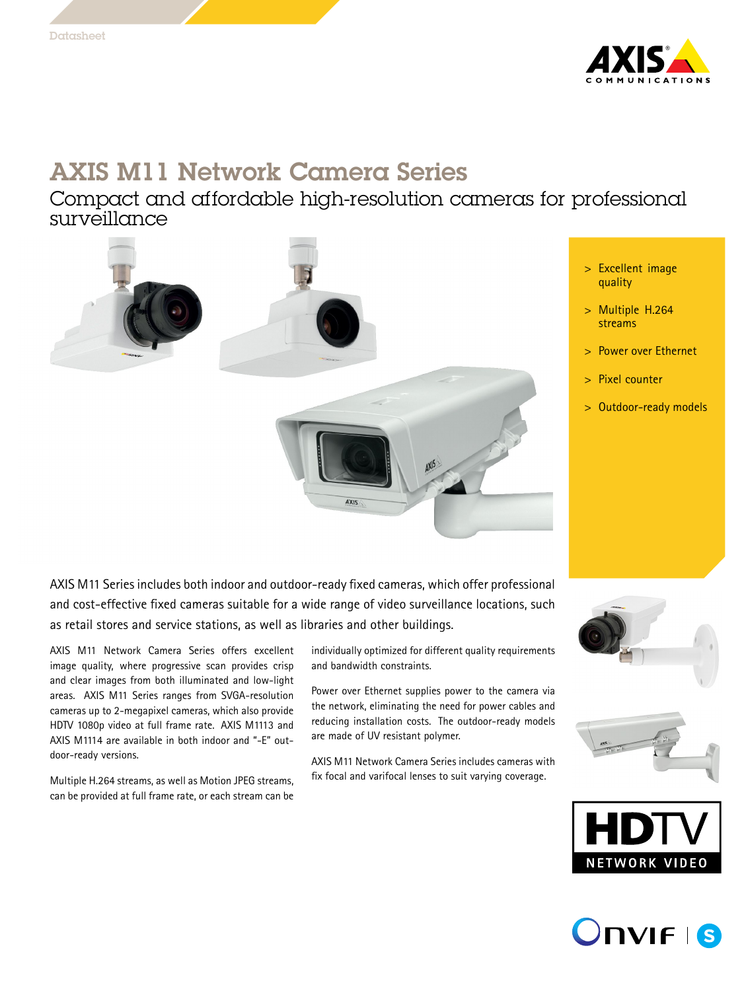

# AXIS M11 Network Camera Series

Compact and affordable high-resolution cameras for professional surveillance



- <sup>&</sup>gt; Excellent image quality
- <sup>&</sup>gt; Multiple H.264 streams
- Power over Ethernet
- Pixel counter
- <sup>&</sup>gt; Outdoor-ready models

AXIS M11 Series includes both indoor and outdoor-ready fixed cameras, which offer professional and cost-effective fixed cameras suitable for <sup>a</sup> wide range of video surveillance locations, such as retail stores and service stations, as well as libraries and other buildings.

AXIS M11 Network Camera Series offers excellent image quality, where progressive scan provides crisp and clear images from both illuminated and low-light areas. AXIS M11 Series ranges from SVGA-resolution cameras up to 2-megapixel cameras, which also provide HDTV 1080p video at full frame rate. AXIS M1113 and AXIS M1114 are available in both indoor and "-E" outdoor-ready versions.

Multiple H.264 streams, as well as Motion JPEG streams, can be provided at full frame rate, or each stream can be individually optimized for different quality requirements and bandwidth constraints.

Power over Ethernet supplies power to the camera via the network, eliminating the need for power cables and reducing installation costs. The outdoor-ready models are made of UV resistant polymer.

AXIS M11 Network Camera Series includes cameras with fix focal and varifocal lenses to suit varying coverage.







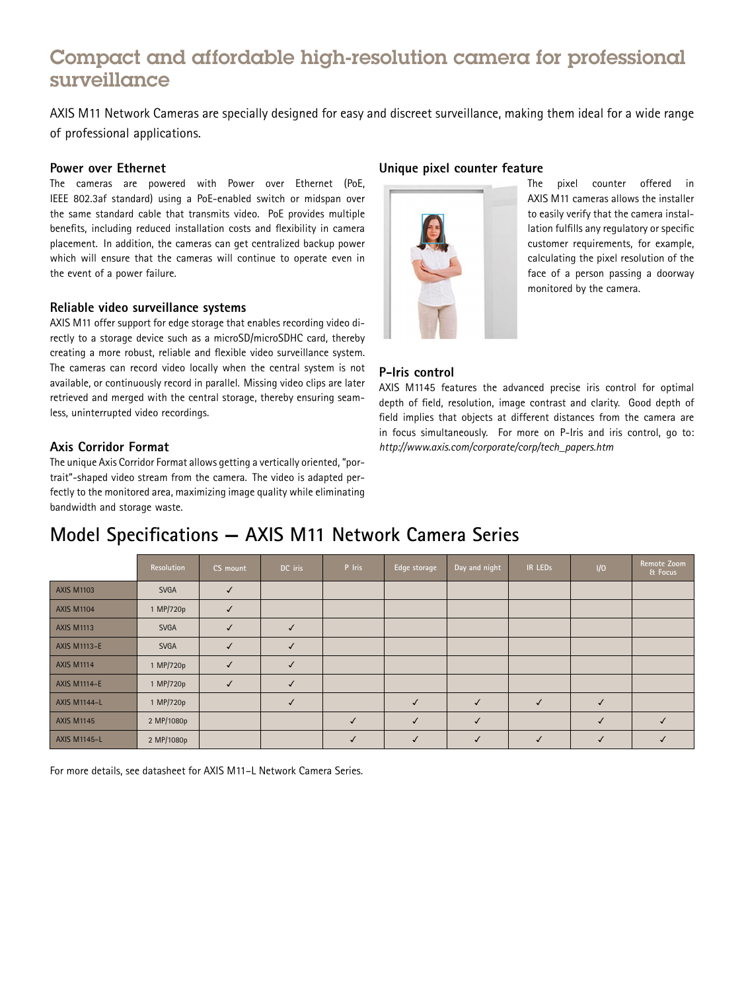### Compact and affordable high-resolution camera for professional surveillance

AXIS M11 Network Cameras are specially designed for easy and discreet surveillance, making them ideal for <sup>a</sup> wide range of professional applications.

#### **Power over Ethernet**

The cameras are powered with Power over Ethernet (PoE, IEEE 802.3af standard) using <sup>a</sup> PoE-enabled switch or midspan over the same standard cable that transmits video. PoE provides multiple benefits, including reduced installation costs and flexibility in camera placement. In addition, the cameras can get centralized backup power which will ensure that the cameras will continue to operate even in the event of <sup>a</sup> power failure.

#### **Reliable video surveillance systems**

AXIS M11 offer support for edge storage that enables recording video directly to <sup>a</sup> storage device such as <sup>a</sup> microSD/microSDHC card, thereby creating <sup>a</sup> more robust, reliable and flexible video surveillance system. The cameras can record video locally when the central system is not available, or continuously record in parallel. Missing video clips are later retrieved and merged with the central storage, thereby ensuring seamless, uninterrupted video recordings.

#### **Axis Corridor Format**

The unique Axis Corridor Format allows getting <sup>a</sup> vertically oriented, "portrait"-shaped video stream from the camera. The video is adapted perfectly to the monitored area, maximizing image quality while eliminating bandwidth and storage waste.

#### **Unique pixel counter feature**



The pixel counter offered in AXIS M11 cameras allows the installer to easily verify that the camera installation fulfills any regulatory or specific customer requirements, for example, calculating the pixel resolution of the face of <sup>a</sup> person passing <sup>a</sup> doorway monitored by the camera.

#### **P-Iris control**

AXIS M1145 features the advanced precise iris control for optimal depth of field, resolution, image contrast and clarity. Good depth of field implies that objects at different distances from the camera are in focus simultaneously. For more on P-Iris and iris control, go to: *http://www.axis.com/corporate/corp/tech\_papers.htm*

## **Model Specifications — AXIS M11 Network Camera Series**

|                     | Resolution  | CS mount     | DC iris | P Iris | Edge storage | Day and night | <b>IR LEDS</b> | 1/0 | Remote Zoom<br>& Focus |
|---------------------|-------------|--------------|---------|--------|--------------|---------------|----------------|-----|------------------------|
| <b>AXIS M1103</b>   | <b>SVGA</b> |              |         |        |              |               |                |     |                        |
| <b>AXIS M1104</b>   | 1 MP/720p   | $\checkmark$ |         |        |              |               |                |     |                        |
| <b>AXIS M1113</b>   | <b>SVGA</b> | $\checkmark$ |         |        |              |               |                |     |                        |
| <b>AXIS M1113-E</b> | <b>SVGA</b> |              |         |        |              |               |                |     |                        |
| <b>AXIS M1114</b>   | 1 MP/720p   | $\checkmark$ |         |        |              |               |                |     |                        |
| <b>AXIS M1114-E</b> | 1 MP/720p   | $\checkmark$ |         |        |              |               |                |     |                        |
| <b>AXIS M1144-L</b> | 1 MP/720p   |              |         |        |              | ✓             |                |     |                        |
| <b>AXIS M1145</b>   | 2 MP/1080p  |              |         |        | √            |               |                |     |                        |
| <b>AXIS M1145-L</b> | 2 MP/1080p  |              |         |        |              |               |                |     |                        |

For more details, see datasheet for AXIS M11–L Network Camera Series.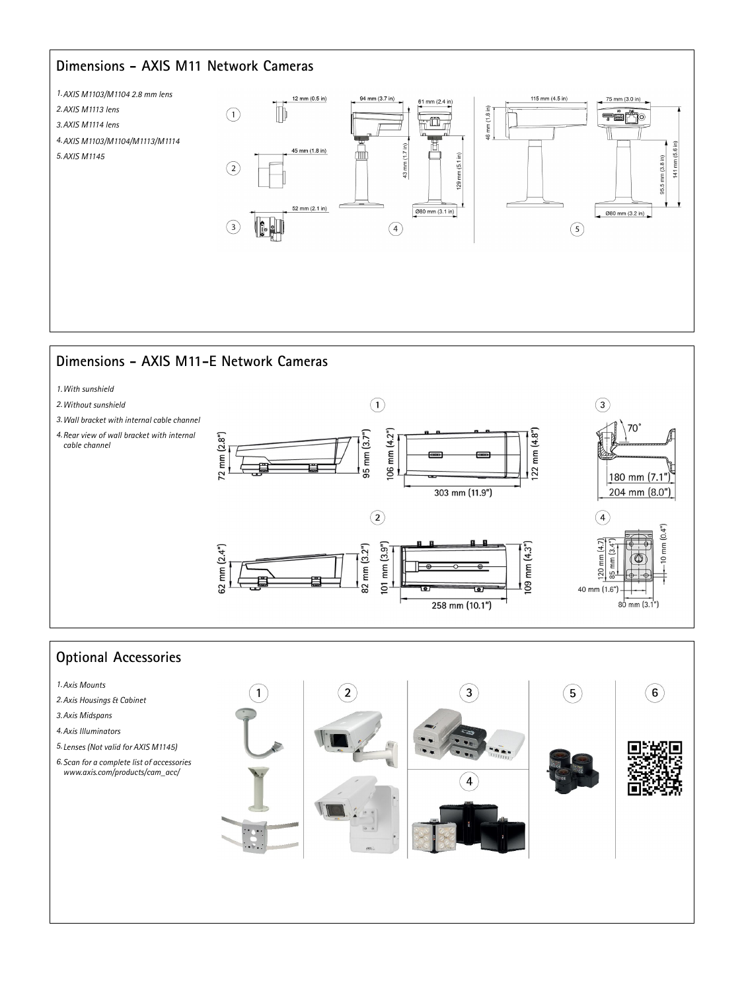### **Dimensions - AXIS M11 Network Cameras**